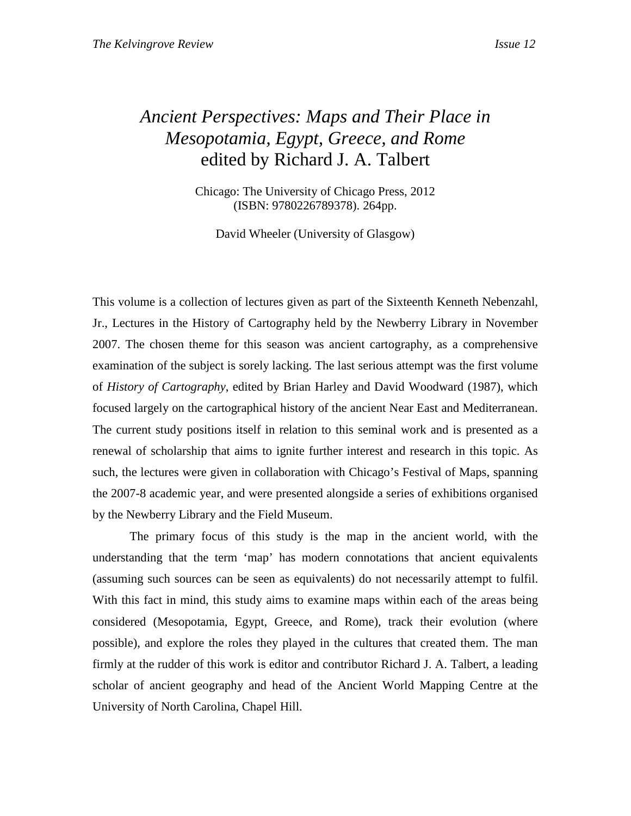## *Ancient Perspectives: Maps and Their Place in Mesopotamia, Egypt, Greece, and Rome*  edited by Richard J. A. Talbert

Chicago: The University of Chicago Press, 2012 (ISBN: 9780226789378). 264pp.

David Wheeler (University of Glasgow)

This volume is a collection of lectures given as part of the Sixteenth Kenneth Nebenzahl, Jr., Lectures in the History of Cartography held by the Newberry Library in November 2007. The chosen theme for this season was ancient cartography, as a comprehensive examination of the subject is sorely lacking. The last serious attempt was the first volume of *History of Cartography*, edited by Brian Harley and David Woodward (1987), which focused largely on the cartographical history of the ancient Near East and Mediterranean. The current study positions itself in relation to this seminal work and is presented as a renewal of scholarship that aims to ignite further interest and research in this topic. As such, the lectures were given in collaboration with Chicago's Festival of Maps, spanning the 2007-8 academic year, and were presented alongside a series of exhibitions organised by the Newberry Library and the Field Museum.

 The primary focus of this study is the map in the ancient world, with the understanding that the term 'map' has modern connotations that ancient equivalents (assuming such sources can be seen as equivalents) do not necessarily attempt to fulfil. With this fact in mind, this study aims to examine maps within each of the areas being considered (Mesopotamia, Egypt, Greece, and Rome), track their evolution (where possible), and explore the roles they played in the cultures that created them. The man firmly at the rudder of this work is editor and contributor Richard J. A. Talbert, a leading scholar of ancient geography and head of the Ancient World Mapping Centre at the University of North Carolina, Chapel Hill.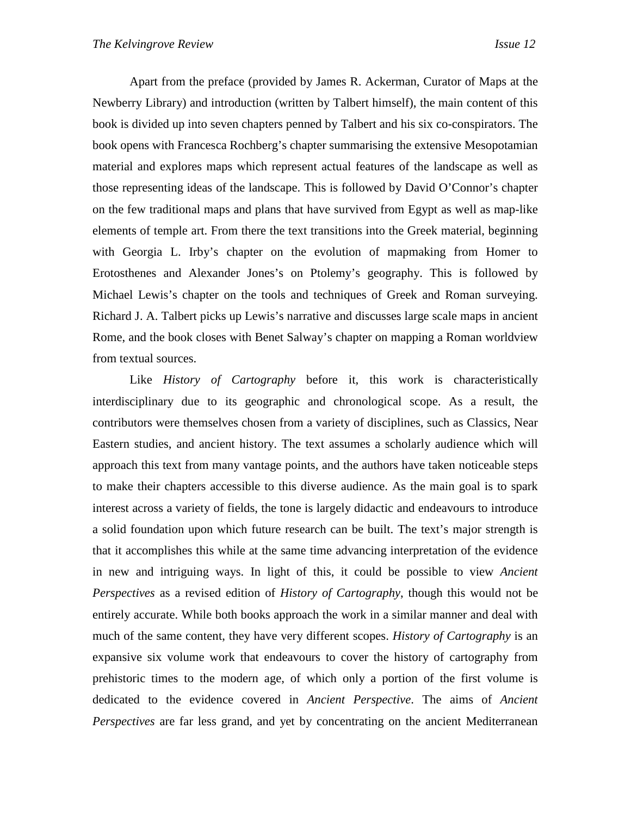Apart from the preface (provided by James R. Ackerman, Curator of Maps at the Newberry Library) and introduction (written by Talbert himself), the main content of this book is divided up into seven chapters penned by Talbert and his six co-conspirators. The book opens with Francesca Rochberg's chapter summarising the extensive Mesopotamian material and explores maps which represent actual features of the landscape as well as those representing ideas of the landscape. This is followed by David O'Connor's chapter on the few traditional maps and plans that have survived from Egypt as well as map-like elements of temple art. From there the text transitions into the Greek material, beginning with Georgia L. Irby's chapter on the evolution of mapmaking from Homer to Erotosthenes and Alexander Jones's on Ptolemy's geography. This is followed by Michael Lewis's chapter on the tools and techniques of Greek and Roman surveying. Richard J. A. Talbert picks up Lewis's narrative and discusses large scale maps in ancient Rome, and the book closes with Benet Salway's chapter on mapping a Roman worldview from textual sources.

 Like *History of Cartography* before it, this work is characteristically interdisciplinary due to its geographic and chronological scope. As a result, the contributors were themselves chosen from a variety of disciplines, such as Classics, Near Eastern studies, and ancient history. The text assumes a scholarly audience which will approach this text from many vantage points, and the authors have taken noticeable steps to make their chapters accessible to this diverse audience. As the main goal is to spark interest across a variety of fields, the tone is largely didactic and endeavours to introduce a solid foundation upon which future research can be built. The text's major strength is that it accomplishes this while at the same time advancing interpretation of the evidence in new and intriguing ways. In light of this, it could be possible to view *Ancient Perspectives* as a revised edition of *History of Cartography*, though this would not be entirely accurate. While both books approach the work in a similar manner and deal with much of the same content, they have very different scopes. *History of Cartography* is an expansive six volume work that endeavours to cover the history of cartography from prehistoric times to the modern age, of which only a portion of the first volume is dedicated to the evidence covered in *Ancient Perspective*. The aims of *Ancient Perspectives* are far less grand, and yet by concentrating on the ancient Mediterranean